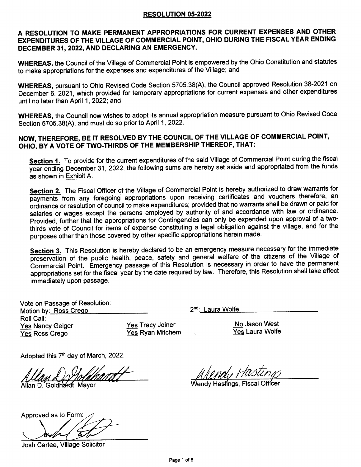### RESOLUTION 05.2022

### A RESOLUTION TO MAKE PERMANENT APPROPRIATIONS FOR CURRENT EXPENSES AND OTHER EXPENDITURES OF THE VILLAGE OF COMMERCIAL POINT, OHIO DURING THE FISCAL YEAR ENDING DECEMBER 31, 2022. AND DECLARING AN EMERGENCY.

WHEREAS, the Council of the Village of Commercial Point is empowered by the Ohio Constitution and statutes to make appropriations for the expenses and expenditures of the Village; and

WHEREAS, pursuant to Ohio Revised Code Section 5705.38(A), the Council approved Resolution 38-2021 on December 6, 2021, which provided for temporary appropriations for current expenses and other expenditures until no later than April 1, 2022; and

WHEREAS, the Council now wishes to adopt its annual appropriation measure pursuant to Ohio Revised Code Section 5705.38(A), and must do so prior to April 1, 2022.

### NOW, THEREFORE, BE IT RESOLVED BY THE COUNCIL OF THE VILLAGE OF COMMERCIAL POINT, OHIO, BY A VOTE OF TWO-THIRDS OF THE MEMBERSHIP THEREOF, THAT:

Section 1. To provide for the current expenditures of the said Village of Commercial Point during the fiscal year ending December 31, 2022, the following sums are hereby set aside and appropriated from the funds as shown in Exhibit A.

Section 2. The Fiscal Officer of the Village of Commercial Point is hereby authorized to draw warrants for payments from any foregoing appropriations upon receiving certificates and vouchers therefore, an ordinance or resolution of council to make expenditures; provided that no warrants shall be drawn or paid for salaries or wages except the persons employed by authority of and accordance with law or ordinance. Provided, further that the appropriations for Contingencies can only be expended upon approval of a twothirds vote of Council for items of expense constituting a legal obligation against the village, and for the purposes other than those covered by other specific appropriations herein made.

Section 3. This Resolution is hereby declared to be an emergency measure necessary for the immediate preservation of the public health, peace, safety and general welfare of the citizens of the Village of Commercial point. Emergency passage of this Resolution is necessary in order to have the permanent appropriations set for the fiscal year by the date required by law. Therefore, this Resolution shall take effect immediately upon passage.

Vote on Passage of Resolution: Motion by: Ross Crego Roll Call: Yes Nancy Geiger Yes Ross Crego

Yes Tracy Joiner Yes Ryan Mitchem 2<sup>nd</sup>: Laura Wolfe

No Jason West Yes Laura Wolfe

Adopted this 7<sup>th</sup> day of March, 2022.

Allan D. Goldhardt, Mayor

Wendy Hasłíngs, Fiscal

Approved as to Form

Josh Cartee, Village Solicitor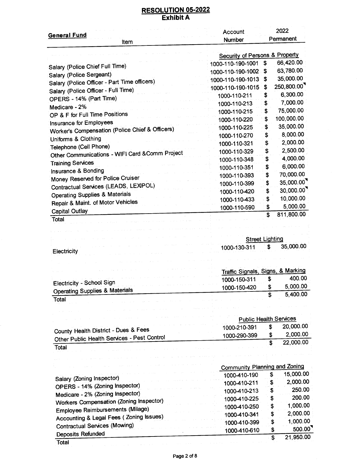| General Fu <u>nd</u>                            | Account<br>Number                 |                                      | 2022<br>Permanent             |
|-------------------------------------------------|-----------------------------------|--------------------------------------|-------------------------------|
| Item                                            |                                   |                                      |                               |
|                                                 | Security of Persons & Property    |                                      |                               |
| Salary (Police Chief Full Time)                 | 1000-110-190-1001                 | \$                                   | 66,420.00                     |
| Salary (Police Sergeant)                        | 1000-110-190-1002                 | S                                    | 63,780.00                     |
| Salary (Police Officer - Part Time officers)    | 1000-110-190-1013                 | \$                                   | 35,000.00                     |
| Salary (Police Officer - Full Time)             | 1000-110-190-1015                 | \$                                   | 250,800.00                    |
| OPERS - 14% (Part Time)                         | 1000-110-211                      | \$                                   | 6,300.00                      |
| Medicare - 2%                                   | 1000-110-213                      | \$                                   | 7,000.00                      |
| OP & F for Full Time Positions                  | 1000-110-215                      | \$                                   | 75,000.00                     |
| Insurance for Employees                         | 1000-110-220                      | \$                                   | 100,000.00                    |
| Worker's Compensation (Police Chief & Officers) | 1000-110-225                      | \$                                   | 35,000.00                     |
| Uniforms & Clothing                             | 1000-110-270                      | \$                                   | 8,000.00                      |
| Telephone (Cell Phone)                          | 1000-110-321                      | \$                                   | 2,000.00                      |
| Other Communications - WIFI Card & Comm Project | 1000-110-329                      | \$                                   | 2,500.00                      |
|                                                 | 1000-110-348                      | \$                                   | 4,000.00                      |
| <b>Training Services</b>                        | 1000-110-351                      | \$                                   | 6,000.00                      |
| Insurance & Bonding                             | 1000-110-393                      | \$                                   | 70,000.00                     |
| Money Reserved for Police Cruiser               | 1000-110-399                      | \$                                   | 35,000.00                     |
| Contractual Services (LEADS, LEXIPOL)           | 1000-110-420                      | \$                                   | 30,000.00                     |
| <b>Operating Supplies &amp; Materials</b>       | 1000-110-433                      | \$                                   | 10,000.00                     |
| Repair & Maint. of Motor Vehicles               | 1000-110-590                      | \$                                   | 5,000.00                      |
| <b>Capital Outlay</b><br>Total                  |                                   | \$                                   | 811,800.00                    |
| Electricity                                     | 1000-130-311                      | S                                    | 35,000.00                     |
|                                                 |                                   |                                      |                               |
|                                                 | Traffic Signals, Signs, & Marking |                                      |                               |
|                                                 | 1000-150-311                      | \$                                   | 400.00                        |
| Flectricity - School Sign                       |                                   | \$                                   | 5,000.00                      |
| <b>Operating Supplies &amp; Materials</b>       | 1000-150-420                      | \$                                   | 5,400.00                      |
| Total                                           |                                   |                                      |                               |
|                                                 |                                   |                                      |                               |
|                                                 |                                   |                                      | <b>Public Health Services</b> |
| County Health District - Dues & Fees            | 1000-210-391                      | \$                                   | 20,000.00                     |
| Other Public Health Services - Pest Control     | 1000-290-399                      | \$                                   | 2,000.00                      |
| Total                                           |                                   | $\overline{\boldsymbol{\mathsf{s}}}$ | 22,000.00                     |
|                                                 |                                   |                                      |                               |
|                                                 |                                   |                                      |                               |
|                                                 | Community Planning and Zoning     |                                      |                               |
| Salary (Zoning Inspector)                       | 1000-410-190                      | \$                                   | 15,000.00                     |
| OPERS - 14% (Zoning Inspector)                  | 1000-410-211                      | \$                                   | 2,000.00                      |
| Medicare - 2% (Zoning Inspector)                | 1000-410-213                      | \$                                   | 250.00                        |
| Workers Compensation (Zoning Inspector)         | 1000-410-225                      | \$                                   | 200.00                        |
| <b>Employee Reimbursements (Milage)</b>         | 1000-410-250                      | \$                                   | 1,000.00                      |
| Accounting & Legal Fees (Zoning Issues)         | 1000-410-341                      | \$                                   | 2,000.00                      |
| <b>Contractual Services (Mowing)</b>            | 1000-410-399                      | \$                                   | 1,000.00                      |
| Deposits Refunded                               | 1000-410-610                      | \$                                   | 500.00                        |
| Tatal                                           |                                   | \$                                   | 21,950.00                     |

#### Page 2 of 8

**Total** 

### RESOLUTION 05.2022 Exhibit A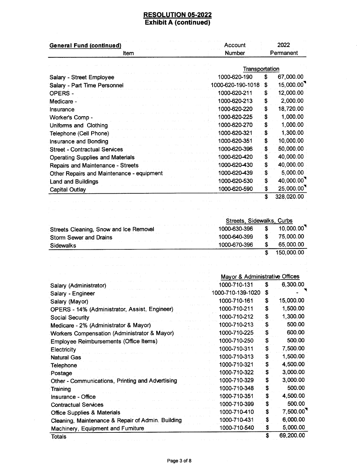$\bar{z}$ 

|                                                                                         | Account                        | 2022      |                                                                                                                                                                                                                           |
|-----------------------------------------------------------------------------------------|--------------------------------|-----------|---------------------------------------------------------------------------------------------------------------------------------------------------------------------------------------------------------------------------|
| ltem                                                                                    | Number                         | Permanent |                                                                                                                                                                                                                           |
|                                                                                         | Transportation                 |           |                                                                                                                                                                                                                           |
| Salary - Street Employee                                                                | 1000-620-190                   | \$        | 67,000.00                                                                                                                                                                                                                 |
| Salary - Part Time Personnel                                                            | 1000-620-190-1018              | \$        | 15,000.00                                                                                                                                                                                                                 |
| <b>OPERS-</b>                                                                           | 1000-620-211                   | \$        | 12,000.00                                                                                                                                                                                                                 |
| Medicare -                                                                              | 1000-620-213                   | \$        | 2,000.00                                                                                                                                                                                                                  |
| Insurance                                                                               | 1000-620-220                   | \$        | 18,720.00                                                                                                                                                                                                                 |
| Worker's Comp -                                                                         | 1000-620-225                   | \$        | 1,000.00                                                                                                                                                                                                                  |
| Uniforms and Clothing                                                                   | 1000-620-270                   | \$        | 1,000.00                                                                                                                                                                                                                  |
| Telephone (Cell Phone)                                                                  | 1000-620-321                   | \$        | 1,300.00                                                                                                                                                                                                                  |
| Insurance and Bonding                                                                   | 1000-620-351                   | \$        | 10,000.00                                                                                                                                                                                                                 |
| <b>Street - Contractual Services</b>                                                    | 1000-620-396                   | \$        | 50,000.00                                                                                                                                                                                                                 |
| <b>Operating Supplies and Materials</b>                                                 | 1000-620-420                   | \$        | 40,000.00                                                                                                                                                                                                                 |
|                                                                                         | 1000-620-430                   | \$        | 40,000.00                                                                                                                                                                                                                 |
| Repairs and Maintenance - Streets                                                       | 1000-620-439                   | \$        | 5,000.00                                                                                                                                                                                                                  |
| Other Repairs and Maintenance - equipment                                               | 1000-620-530                   | \$        | 40,000.00                                                                                                                                                                                                                 |
| <b>Land and Buildings</b>                                                               | 1000-620-590                   | \$        | 25,000.00                                                                                                                                                                                                                 |
| <b>Capital Outlay</b>                                                                   |                                | \$        | 328,020.00                                                                                                                                                                                                                |
|                                                                                         |                                |           |                                                                                                                                                                                                                           |
|                                                                                         |                                |           |                                                                                                                                                                                                                           |
|                                                                                         | Streets, Sidewalks, Curbs      |           |                                                                                                                                                                                                                           |
| Streets Cleaning, Snow and Ice Removal                                                  | 1000-630-396                   | \$        | 10,000.00                                                                                                                                                                                                                 |
| <b>Storm Sewer and Drains</b>                                                           | 1000-640-399                   | \$        | 75,000.00                                                                                                                                                                                                                 |
| <b>Sidewalks</b>                                                                        | 1000-670-396                   | \$        | 65,000.00                                                                                                                                                                                                                 |
|                                                                                         |                                |           |                                                                                                                                                                                                                           |
|                                                                                         |                                | \$        |                                                                                                                                                                                                                           |
|                                                                                         |                                |           |                                                                                                                                                                                                                           |
|                                                                                         |                                |           |                                                                                                                                                                                                                           |
|                                                                                         |                                |           |                                                                                                                                                                                                                           |
|                                                                                         | Mayor & Administrative Offices | \$        |                                                                                                                                                                                                                           |
| Salary (Administrator)                                                                  | 1000-710-131                   |           |                                                                                                                                                                                                                           |
| Salary - Engineer                                                                       | 1000-710-139-1020              | \$        |                                                                                                                                                                                                                           |
| Salary (Mayor)                                                                          | 1000-710-161                   | \$        |                                                                                                                                                                                                                           |
| OPERS - 14% (Administrator, Assist, Engineer)                                           | 1000-710-211                   | \$        |                                                                                                                                                                                                                           |
| <b>Social Security</b>                                                                  | 1000-710-212                   | \$        |                                                                                                                                                                                                                           |
| Medicare - 2% (Administrator & Mayor)                                                   | 1000-710-213                   | \$        |                                                                                                                                                                                                                           |
| Workers Compensation (Administrator & Mayor)                                            | 1000-710-225                   | \$        |                                                                                                                                                                                                                           |
| Employee Reimbursements (Office Items)                                                  | 1000-710-250                   | \$        |                                                                                                                                                                                                                           |
| Electricity                                                                             | 1000-710-311                   | \$        |                                                                                                                                                                                                                           |
| <b>Natural Gas</b>                                                                      | 1000-710-313                   | \$        |                                                                                                                                                                                                                           |
| Telephone                                                                               | 1000-710-321                   | \$        |                                                                                                                                                                                                                           |
| Postage                                                                                 | 1000-710-322                   | \$        |                                                                                                                                                                                                                           |
| Other - Communications, Printing and Advertising                                        | 1000-710-329                   | \$        |                                                                                                                                                                                                                           |
| Training                                                                                | 1000-710-348                   | \$        |                                                                                                                                                                                                                           |
| Insurance - Office                                                                      | 1000-710-351                   | \$        |                                                                                                                                                                                                                           |
| <b>Contractual Services</b>                                                             | 1000-710-399                   | S         |                                                                                                                                                                                                                           |
| <b>Office Supplies &amp; Materials</b>                                                  | 1000-710-410                   | \$        |                                                                                                                                                                                                                           |
| Cleaning, Maintenance & Repair of Admin. Building<br>Machinery, Equipment and Furniture | 1000-710-431<br>1000-710-540   | \$<br>\$  | 150,000.00<br>6,300.00<br>15,000.00<br>1,500.00<br>1,300.00<br>500.00<br>600.00<br>500.00<br>7,500.00<br>1,500.00<br>4,500.00<br>3,000.00<br>3,000.00<br>500.00<br>4,500.00<br>500.00<br>7,500.00<br>6,000.00<br>5,000.00 |

 $\mathcal{L}_{\mathrm{max}}$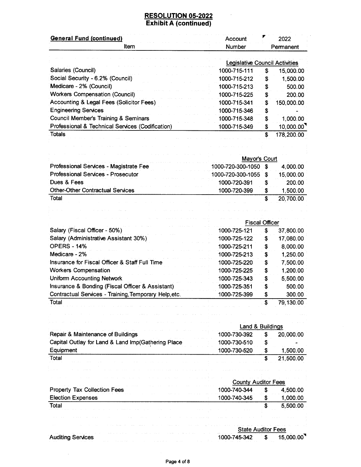$\sim 100$ 

| <b>General Fund (continued)</b>                  | Account                               |    | 2022       |  |
|--------------------------------------------------|---------------------------------------|----|------------|--|
| Item                                             | <b>Number</b>                         |    | Permanent  |  |
|                                                  | <b>Legislative Council Activities</b> |    |            |  |
| Salaries (Council)                               | 1000-715-111                          | S  | 15,000.00  |  |
| Social Security - 6.2% (Council)                 | 1000-715-212                          | S  | 1,500.00   |  |
| Medicare - 2% (Council)                          | 1000-715-213                          | S  | 500.00     |  |
| <b>Workers Compensation (Council)</b>            | 1000-715-225                          |    | 200.00     |  |
| Accounting & Legal Fees (Solicitor Fees)         | 1000-715-341                          | S  | 150,000.00 |  |
| <b>Engineering Services</b>                      | 1000-715-346                          | S  |            |  |
| Council Member's Training & Seminars             | 1000-715-348                          | S  | 1,000.00   |  |
| Professional & Technical Services (Codification) | 1000-715-349                          | S  | 10,000.00  |  |
| <b>Totals</b>                                    |                                       | \$ | 178,200.00 |  |

|                                           | Mayor's Court        |  |           |  |
|-------------------------------------------|----------------------|--|-----------|--|
| Professional Services - Magistrate Fee    | 1000-720-300-1050    |  | 4.000.00  |  |
| <b>Professional Services - Prosecutor</b> | 1000-720-300-1055 \$ |  | 15,000.00 |  |
| Dues & Fees                               | 1000-720-391         |  | 200.00    |  |
| <b>Other-Other Contractual Services</b>   | 1000-720-399         |  | 1.500.00  |  |
| Total                                     |                      |  | 20,700.00 |  |

|                                                       | <b>Fiscal Officer</b> |    |           |  |
|-------------------------------------------------------|-----------------------|----|-----------|--|
| Salary (Fiscal Officer - 50%)                         | 1000-725-121          | S  | 37,800.00 |  |
| Salary (Administrative Assistant 30%)                 | 1000-725-122          | S  | 17,080.00 |  |
| <b>OPERS - 14%</b>                                    | 1000-725-211          | \$ | 8,000.00  |  |
| Medicare - 2%                                         | 1000-725-213          | S  | 1,250.00  |  |
| Insurance for Fiscal Officer & Staff Full Time        | 1000-725-220          | S  | 7,500.00  |  |
| <b>Workers Compensation</b>                           | 1000-725-225          | S  | 1,200.00  |  |
| <b>Uniform Accounting Network</b>                     | 1000-725-343          | S  | 5,500.00  |  |
| Insurance & Bonding (Fiscal Officer & Assistant)      | 1000-725-351          | S  | 500.00    |  |
| Contractual Services - Training, Temporary Help, etc. | 1000-725-399          | S  | 300.00    |  |
| Total                                                 |                       | S  | 79,130.00 |  |

|                                                    |              | Land & Buildings |           |  |
|----------------------------------------------------|--------------|------------------|-----------|--|
| Repair & Maintenance of Buildings                  | 1000-730-392 |                  | 20,000.00 |  |
| Capital Outlay for Land & Land Imp(Gathering Place | 1000-730-510 |                  |           |  |
| Equipment                                          | 1000-730-520 |                  | 1.500.00  |  |
| Total                                              |              |                  | 21.500.00 |  |

ال والمعادل المعدل المالي المعادل التي يتم المنتقل المعادلة المعدلة المعادلة التي تتم التي يتم التي يتم المعدلة<br>المعدل المعدل المعدل المعدل المعدل التي يتم المعدلة المعدلة المعدلة المعدلة المعدل المعدل المعدل المعدلة وال

| in the second community of the contract of the community of the community of the community of the community of the community of the community of the community of the community of the community of the community of the commu                                        | <b>Contract Contract Contract</b>                                                                                               | <b>County Auditor Fees</b> |                                                                                                                                                                                                                               |  |  |
|-----------------------------------------------------------------------------------------------------------------------------------------------------------------------------------------------------------------------------------------------------------------------|---------------------------------------------------------------------------------------------------------------------------------|----------------------------|-------------------------------------------------------------------------------------------------------------------------------------------------------------------------------------------------------------------------------|--|--|
| the experimental control of the control of the control of the control of the control of the control of the control of the control of the control of the control of the control of the control of the control of the control of<br><b>Property Tax Collection Fees</b> | the contract of the contract of the contract of the contract of the contract of the contract of the contract of<br>1000-740-344 |                            | 4.500.00                                                                                                                                                                                                                      |  |  |
| the company of the company of the company of the company of the company of the company of the company of the company of<br><b>Election Expenses</b>                                                                                                                   |                                                                                                                                 |                            | the company of the company of the company of the company of the company of the company of the company of the company of the company of the company of the company of the company of the company of the company of the company |  |  |
| Total<br>and and the contract of the contract of the contract of the contract of the contract of the contract of the contract of the contract of the contract of the contract of the contract of the contract of the contract of the co                               | <b>Contract Contract</b>                                                                                                        |                            | 5.500.00                                                                                                                                                                                                                      |  |  |
| the activity of a series of the contract of the contract of the contract and a series of the contract of the contract of the contract of the contract of the contract of the contract of the contract of the contract of the c                                        |                                                                                                                                 |                            |                                                                                                                                                                                                                               |  |  |

|                                                                           |                                                                      |                                                                                                                 | <b>State Auditor Fees</b> |  |                                                                                                                                                                                                                                                                                                                                                                   |          |                                                                                                                              |
|---------------------------------------------------------------------------|----------------------------------------------------------------------|-----------------------------------------------------------------------------------------------------------------|---------------------------|--|-------------------------------------------------------------------------------------------------------------------------------------------------------------------------------------------------------------------------------------------------------------------------------------------------------------------------------------------------------------------|----------|------------------------------------------------------------------------------------------------------------------------------|
| the company's property and the company's<br>the company of the company of | <b>Auditing Services</b><br>the contract of the contract of the con- | the contract of the contract of the contract of the contract of the contract of the contract of the contract of |                           |  | international control and and a control and a control and a control of the control of the control of the control of the control of the control of the control of the control of the control of the control of the control of t<br>1000-745-342<br>the contract of the contract of the contract of the contract of the contract of the contract of the contract of | <b>S</b> | 15,000.00<br>the contract of the contract of the contract of the contract of the contract of the contract of the contract of |

 $\bar{z}$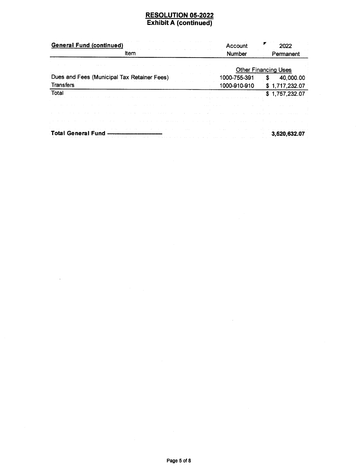| <b>General Fund (continued)</b>             | Account       | 2022                        |
|---------------------------------------------|---------------|-----------------------------|
| <b>Item</b>                                 | <b>Number</b> | Permanent                   |
|                                             |               | <b>Other Financing Uses</b> |
| Dues and Fees (Municipal Tax Retainer Fees) | 1000-755-391  | 40,000.00<br>S              |
| <b>Transfers</b>                            | 1000-910-910  | \$1,717,232.07              |
| Total                                       |               | \$1,757,232.07              |
|                                             |               |                             |
|                                             |               |                             |
|                                             |               |                             |
| <b>Total General Fund</b>                   |               | 3,520,632.07                |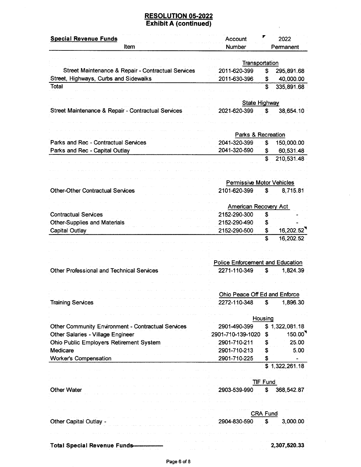$\Lambda$ 

 $\hat{\boldsymbol{\epsilon}}$ 

| <b>Special Revenue Funds</b>                              | Account                                 | ▼<br>2022                         |
|-----------------------------------------------------------|-----------------------------------------|-----------------------------------|
| Item                                                      | Number                                  | Permanent                         |
|                                                           |                                         |                                   |
| Street Maintenance & Repair - Contractual Services        | 2011-620-399                            | Transportation<br>S<br>295,891.68 |
| Street, Highways, Curbs and Sidewalks                     | 2011-630-396                            | 40,000.00<br>\$                   |
| Total                                                     |                                         | \$<br>335,891.68                  |
|                                                           |                                         |                                   |
|                                                           |                                         | <b>State Highway</b>              |
| Street Maintenance & Repair - Contractual Services        | 2021-620-399                            | \$<br>38,654.10                   |
|                                                           |                                         |                                   |
|                                                           |                                         |                                   |
|                                                           | Parks & Recreation                      |                                   |
| Parks and Rec - Contractual Services                      | 2041-320-399                            | 150,000.00<br>\$                  |
| Parks and Rec - Capital Outlay                            | 2041-320-590                            | \$<br>60,531.48                   |
|                                                           |                                         | \$<br>210,531.48                  |
|                                                           |                                         |                                   |
|                                                           |                                         | <b>Permissive Motor Vehicles</b>  |
| <b>Other-Other Contractual Services</b>                   | 2101-620-399                            | 8,715.81<br>S                     |
|                                                           |                                         |                                   |
|                                                           | American Recovery Act                   |                                   |
| <b>Contractual Services</b>                               | 2152-290-300                            | \$                                |
| <b>Other-Supplies and Materials</b>                       | 2152-290-490                            | \$                                |
| <b>Capital Outlay</b>                                     | 2152-290-500                            | 16,202.52<br>\$                   |
|                                                           |                                         | \$<br>16,202.52                   |
|                                                           |                                         |                                   |
|                                                           |                                         |                                   |
|                                                           | <b>Police Enforcement and Education</b> |                                   |
| <b>Other Professional and Technical Services</b>          | 2271-110-349                            | \$<br>1,824.39                    |
|                                                           |                                         |                                   |
|                                                           |                                         |                                   |
|                                                           | Ohio Peace Off Ed and Enforce           |                                   |
| <b>Training Services</b>                                  | 2272-110-348                            | 1,896.30<br>\$                    |
|                                                           |                                         | Housing                           |
| <b>Other Community Environment - Contractual Services</b> | 2901-490-399                            | \$1,322,081.18                    |
| Other Salaries - Village Engineer                         | 2901-710-139-1020                       | 150.00<br>\$                      |
| Ohio Public Employers Retirement System                   | 2901-710-211                            | 25.00<br>\$                       |
| Medicare                                                  | 2901-710-213                            | 5.00<br>\$                        |
| <b>Worker's Compensation</b>                              | 2901-710-225                            | \$                                |
|                                                           |                                         | \$1,322,261.18                    |
|                                                           |                                         |                                   |
|                                                           |                                         | <b>TIF Fund</b>                   |
| <b>Other Water</b>                                        | 2903-539-990                            | \$<br>368,542.87                  |
|                                                           |                                         |                                   |
|                                                           |                                         |                                   |
|                                                           |                                         | <b>CRA Fund</b>                   |
| Other Capital Outlay -                                    | 2904-830-590                            | \$<br>3,000.00                    |
|                                                           |                                         |                                   |
| <b>Total Special Revenue Funds-</b>                       |                                         | 2,307,520.33                      |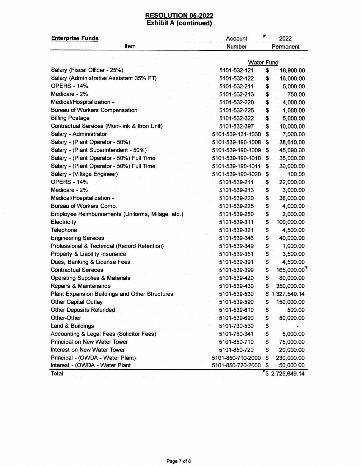| <b>Enterprise Funds</b>                          | Account           | ▼<br>2022        |  |
|--------------------------------------------------|-------------------|------------------|--|
| ltem                                             | Number            | Permanent        |  |
|                                                  |                   |                  |  |
|                                                  | <b>Water Fund</b> |                  |  |
| Salary (Fiscal Officer - 25%)                    | 5101-532-121      | \$<br>18,900.00  |  |
| Salary (Administrative Assistant 35% FT)         | 5101-532-122      | \$<br>16,000.00  |  |
| <b>OPERS - 14%</b>                               | 5101-532-211      | \$<br>5,000.00   |  |
| Medicare - 2%                                    | 5101-532-213      | \$<br>750.00     |  |
| Medical/Hospitalization -                        | 5101-532-220      | \$<br>4,000.00   |  |
| <b>Bureau of Workers Compensation</b>            | 5101-532-225      | \$<br>1,000.00   |  |
| <b>Billing Postage</b>                           | 5101-532-322      | \$<br>5,000.00   |  |
| Contractual Services (Muni-link & Itron Unit)    | 5101-532-397      | \$<br>10,000.00  |  |
| Salary - Administrator                           | 5101-539-131-1030 | 7,000.00<br>s    |  |
| Salary - (Plant Operator - 50%)                  | 5101-539-190-1008 | 38,610.00<br>S   |  |
| Salary - (Plant Superintendent - 50%)            | 5101-539-190-1009 | 45,090.00<br>\$  |  |
| Salary - (Plant Operator - 50%) Full Time        | 5101-539-190-1010 | 35,000.00<br>s   |  |
| Salary - (Plant Operator - 50%) Full Time        | 5101-539-190-1011 | 30,000.00        |  |
| Salary - (Village Engineer)                      | 5101-539-190-1020 | 100.00<br>\$     |  |
| <b>OPERS - 14%</b>                               | 5101-539-211      | 22,000.00<br>\$  |  |
| Medicare - 2%                                    | 5101-539-213      | 3,000.00<br>\$   |  |
| Medical/Hospitalization -                        | 5101-539-220      | \$<br>38,000.00  |  |
| Bureau of Workers Comp.                          | 5101-539-225      | \$<br>4,000.00   |  |
| Employee Reimbursements (Uniforms, Milage, etc.) | 5101-539-250      | \$<br>2,000.00   |  |
| Electricity                                      | 5101-539-311      | 100,000.00<br>\$ |  |
| Telephone                                        | 5101-539-321      | 4,500.00<br>\$   |  |
| <b>Engineering Services</b>                      | 5101-539-346      | 40,000.00<br>\$  |  |
| Professional & Technical (Record Retention)      | 5101-539-349      | \$<br>1,000.00   |  |
| Property & Liability Insurance                   | 5101-539-351      | \$<br>3,500.00   |  |
| Dues, Banking & License Fees                     | 5101-539-391      | 4,500.00<br>\$   |  |
| <b>Contractual Services</b>                      | 5101-539-399      | 165,000.00<br>\$ |  |
| <b>Operating Supplies &amp; Materials</b>        | 5101-539-420      | \$<br>80,000.00  |  |
| Repairs & Maintenance                            | 5101-539-430      | 350,000.00<br>\$ |  |
| Plant Expansion Buildings and Other Structures   | 5101-539-530      | \$1,327,549.14   |  |
| <b>Other Capital Outlay</b>                      | 5101-539-590      | \$<br>150,000.00 |  |
| <b>Other Deposits Refunded</b>                   | 5101-539-610      | \$<br>500.00     |  |
| Other-Other                                      | 5101-539-690      | \$<br>50,000.00  |  |
| Land & Buildings                                 | 5101-730-530      | \$               |  |
| Accounting & Legal Fees (Solicitor Fees)         | 5101-750-341      | \$<br>5,000.00   |  |
| Principal on New Water Tower                     | 5101-850-710      | 75,000.00<br>\$  |  |
| Interest on New Water Tower                      | 5101-850-720      | 20,000.00<br>\$  |  |
| Principal - (OWDA - Water Plant)                 | 5101-850-710-2000 | 230,000.00<br>S  |  |
| Interest - (OWDA - Water Plant                   | 5101-850-720-2000 | 50,000.00<br>\$  |  |
| Total                                            |                   | \$2,725,649.14   |  |

 $\hat{\boldsymbol{\beta}}$